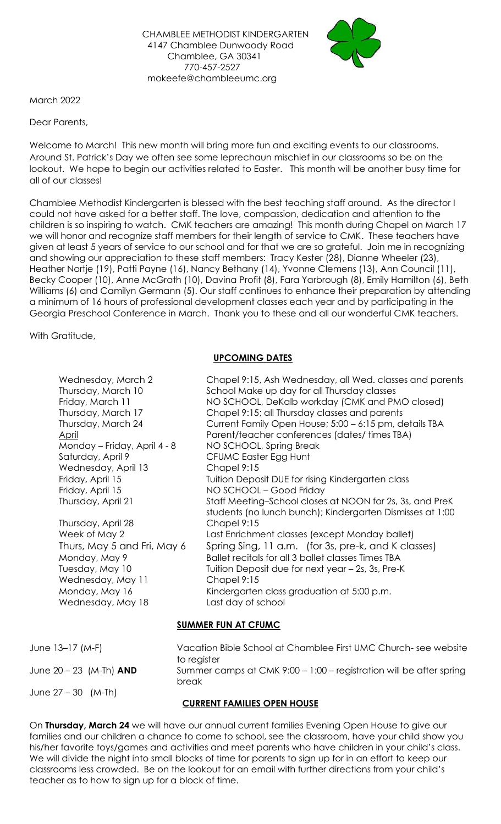

March 2022

Dear Parents,

Welcome to March! This new month will bring more fun and exciting events to our classrooms. Around St. Patrick's Day we often see some leprechaun mischief in our classrooms so be on the lookout. We hope to begin our activities related to Easter. This month will be another busy time for all of our classes!

Chamblee Methodist Kindergarten is blessed with the best teaching staff around. As the director I could not have asked for a better staff. The love, compassion, dedication and attention to the children is so inspiring to watch. CMK teachers are amazing! This month during Chapel on March 17 we will honor and recognize staff members for their length of service to CMK. These teachers have given at least 5 years of service to our school and for that we are so grateful. Join me in recognizing and showing our appreciation to these staff members: Tracy Kester (28), Dianne Wheeler (23), Heather Nortje (19), Patti Payne (16), Nancy Bethany (14), Yvonne Clemens (13), Ann Council (11), Becky Cooper (10), Anne McGrath (10), Davina Profit (8), Fara Yarbrough (8), Emily Hamilton (6), Beth Williams (6) and Camilyn Germann (5). Our staff continues to enhance their preparation by attending a minimum of 16 hours of professional development classes each year and by participating in the Georgia Preschool Conference in March. Thank you to these and all our wonderful CMK teachers.

With Gratitude,

# **UPCOMING DATES**

| Wednesday, March 2<br>Thursday, March 10<br>Friday, March 11<br>Thursday, March 17<br>Thursday, March 24<br><u>April</u><br>Monday – Friday, April 4 - 8<br>Saturday, April 9<br>Wednesday, April 13<br>Friday, April 15<br>Friday, April 15<br>Thursday, April 21<br>Thursday, April 28<br>Week of May 2<br>Thurs, May 5 and Fri, May 6<br>Monday, May 9<br>Tuesday, May 10<br>Wednesday, May 11<br>Monday, May 16 | Chapel 9:15, Ash Wednesday, all Wed. classes and parents<br>School Make up day for all Thursday classes<br>NO SCHOOL, DeKalb workday (CMK and PMO closed)<br>Chapel 9:15; all Thursday classes and parents<br>Current Family Open House; 5:00 - 6:15 pm, details TBA<br>Parent/teacher conferences (dates/ times TBA)<br>NO SCHOOL, Spring Break<br><b>CFUMC Easter Egg Hunt</b><br>Chapel 9:15<br>Tuition Deposit DUE for rising Kindergarten class<br>NO SCHOOL - Good Friday<br>Staff Meeting–School closes at NOON for 2s, 3s, and PreK<br>students (no lunch bunch); Kindergarten Dismisses at 1:00<br>Chapel 9:15<br>Last Enrichment classes (except Monday ballet)<br>Spring Sing, 11 a.m. (for 3s, pre-k, and K classes)<br>Ballet recitals for all 3 ballet classes Times TBA<br>Tuition Deposit due for next year - 2s, 3s, Pre-K<br>Chapel 9:15<br>Kindergarten class graduation at 5:00 p.m. |
|---------------------------------------------------------------------------------------------------------------------------------------------------------------------------------------------------------------------------------------------------------------------------------------------------------------------------------------------------------------------------------------------------------------------|----------------------------------------------------------------------------------------------------------------------------------------------------------------------------------------------------------------------------------------------------------------------------------------------------------------------------------------------------------------------------------------------------------------------------------------------------------------------------------------------------------------------------------------------------------------------------------------------------------------------------------------------------------------------------------------------------------------------------------------------------------------------------------------------------------------------------------------------------------------------------------------------------------|
| Wednesday, May 18                                                                                                                                                                                                                                                                                                                                                                                                   | Last day of school                                                                                                                                                                                                                                                                                                                                                                                                                                                                                                                                                                                                                                                                                                                                                                                                                                                                                       |

# **SUMMER FUN AT CFUMC**

| June $13-17$ (M-F)        | Vacation Bible School at Chamblee First UMC Church-see website                              |
|---------------------------|---------------------------------------------------------------------------------------------|
| June $20 - 23$ (M-Th) AND | to register<br>Summer camps at CMK 9:00 - 1:00 - registration will be after spring<br>break |
| June $27 - 30$ (M-Th)     | <b>CURRENT FAMILIES OPEN HOUSE</b>                                                          |

On **Thursday, March 24** we will have our annual current families Evening Open House to give our families and our children a chance to come to school, see the classroom, have your child show you his/her favorite toys/games and activities and meet parents who have children in your child's class. We will divide the night into small blocks of time for parents to sign up for in an effort to keep our classrooms less crowded. Be on the lookout for an email with further directions from your child's teacher as to how to sign up for a block of time.